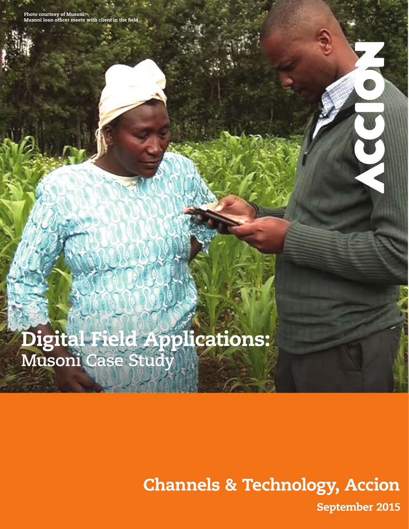

# Channels & Technology, Accion

September 2015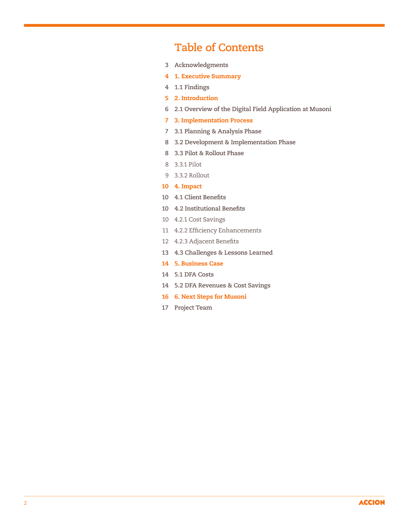# **Table of Contents**

- **Acknowledgments**
- 4 1. Executive Summary
- **1.1 Findings**
- 5 2. Introduction
- **2.1 Overview of the Digital Field Application at Musoni**
- 7 3. Implementation Process
- **3.1 Planning & Analysis Phase**
- **8 3.2 Development & Implementation Phase**
- **8 3.3 Pilot & Rollout Phase**
- 3.3.1 Pilot
- 3.3.2 Rollout

#### 10 4. Impact

- **10 4.1 Client Benefits**
- **4.2 Institutional Benefits**
- 4.2.1 Cost Savings
- 4.2.2 Efficiency Enhancements
- 4.2.3 Adjacent Benefits
- **4.3 Challenges & Lessons Learned**
- 5. Business Case
- **5.1 DFA Costs**
- **5.2 DFA Revenues & Cost Savings**
- 6. Next Steps for Musoni
- **Project Team**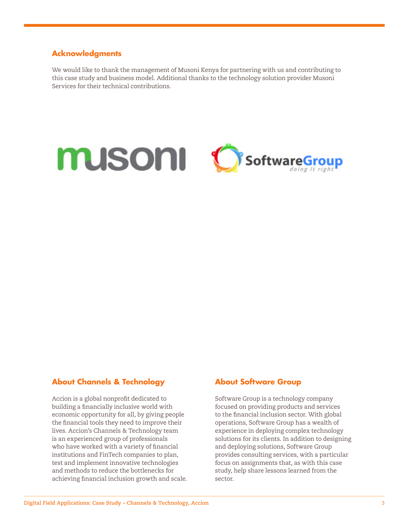## **Acknowledgments**

We would like to thank the management of Musoni Kenya for partnering with us and contributing to this case study and business model. Additional thanks to the technology solution provider Musoni Services for their technical contributions.



## **About Channels & Technology**

Accion is a global nonprofit dedicated to building a financially inclusive world with economic opportunity for all, by giving people the financial tools they need to improve their lives. Accion's Channels & Technology team is an experienced group of professionals who have worked with a variety of financial institutions and FinTech companies to plan, test and implement innovative technologies and methods to reduce the bottlenecks for achieving financial inclusion growth and scale.

## **About Software Group**

Software Group is a technology company focused on providing products and services to the financial inclusion sector. With global operations, Software Group has a wealth of experience in deploying complex technology solutions for its clients. In addition to designing and deploying solutions, Software Group provides consulting services, with a particular focus on assignments that, as with this case study, help share lessons learned from the sector.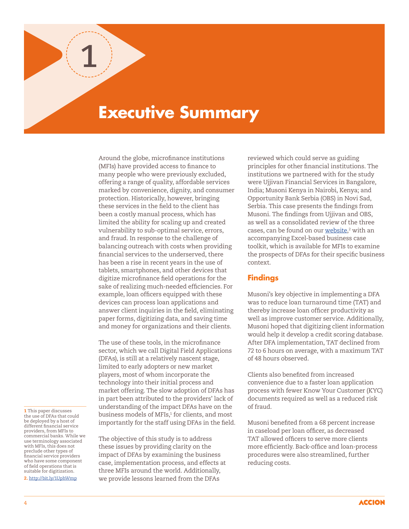# **Executive Summary**

**1**

Around the globe, microfinance institutions (MFIs) have provided access to finance to many people who were previously excluded, offering a range of quality, affordable services marked by convenience, dignity, and consumer protection. Historically, however, bringing these services in the field to the client has been a costly manual process, which has limited the ability for scaling up and created vulnerability to sub-optimal service, errors, and fraud. In response to the challenge of balancing outreach with costs when providing financial services to the underserved, there has been a rise in recent years in the use of tablets, smartphones, and other devices that digitize microfinance field operations for the sake of realizing much-needed efficiencies. For example, loan officers equipped with these devices can process loan applications and answer client inquiries in the field, eliminating paper forms, digitizing data, and saving time and money for organizations and their clients.

The use of these tools, in the microfinance sector, which we call Digital Field Applications (DFAs), is still at a relatively nascent stage, limited to early adopters or new market players, most of whom incorporate the technology into their initial process and market offering. The slow adoption of DFAs has in part been attributed to the providers' lack of understanding of the impact DFAs have on the business models of MFIs,<sup>1</sup> for clients, and most importantly for the staff using DFAs in the field.

1 This paper discusses the use of DFAs that could be deployed by a host of different financial service providers, from MFIs to commercial banks. While we use terminology associated with MFIs, this does not preclude other types of financial service providers who have some component of field operations that is suitable for digitization.

2. <http://bit.ly/1UphWmp>

The objective of this study is to address these issues by providing clarity on the impact of DFAs by examining the business case, implementation process, and effects at three MFIs around the world. Additionally, we provide lessons learned from the DFAs

reviewed which could serve as guiding principles for other financial institutions. The institutions we partnered with for the study were Ujjivan Financial Services in Bangalore, India; Musoni Kenya in Nairobi, Kenya; and Opportunity Bank Serbia (OBS) in Novi Sad, Serbia. This case presents the findings from Musoni. The findings from Ujjivan and OBS, as well as a consolidated review of the three cases, can be found on our <u>website</u>,<sup>2</sup> with an accompanying Excel-based business case toolkit, which is available for MFIs to examine the prospects of DFAs for their specific business context.

#### **Findings**

Musoni's key objective in implementing a DFA was to reduce loan turnaround time (TAT) and thereby increase loan officer productivity as well as improve customer service. Additionally, Musoni hoped that digitizing client information would help it develop a credit scoring database. After DFA implementation, TAT declined from 72 to 6 hours on average, with a maximum TAT of 48 hours observed.

Clients also benefited from increased convenience due to a faster loan application process with fewer Know Your Customer (KYC) documents required as well as a reduced risk of fraud.

Musoni benefited from a 68 percent increase in caseload per loan officer, as decreased TAT allowed officers to serve more clients more efficiently. Back-office and loan-process procedures were also streamlined, further reducing costs.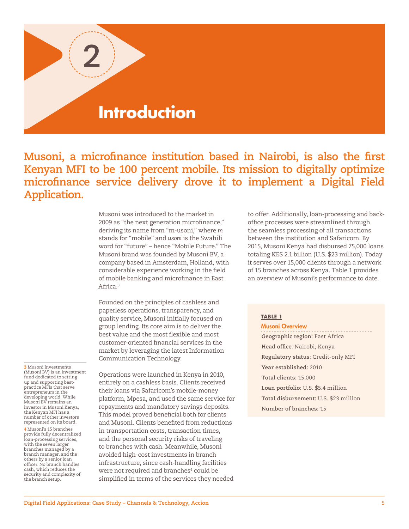# **Introduction**

**2**

**Musoni, a microfinance institution based in Nairobi, is also the first Kenyan MFI to be 100 percent mobile. Its mission to digitally optimize microfinance service delivery drove it to implement a Digital Field Application.**

> Musoni was introduced to the market in 2009 as "the next generation microfinance," deriving its name from "m-usoni," where *m* stands for "mobile" and *usoni* is the Swahili word for "future" – hence "Mobile Future." The Musoni brand was founded by Musoni BV, a company based in Amsterdam, Holland, with considerable experience working in the field of mobile banking and microfinance in East Africa.<sup>3</sup>

Founded on the principles of cashless and paperless operations, transparency, and quality service, Musoni initially focused on group lending. Its core aim is to deliver the best value and the most flexible and most customer-oriented financial services in the market by leveraging the latest Information Communication Technology.

3 Musoni Investments (Musoni BV) is an investment fund dedicated to setting up and supporting bestpractice MFIs that serve entrepreneurs in the developing world. While Musoni BV remains an investor in Musoni Kenya, the Kenyan MFI has a number of other investors represented on its board.

4 Musoni's 15 branches provide fully decentralized loan-processing services, with the seven larger branches managed by a branch manager, and the others by a senior loan officer. No branch handles cash, which reduces the security and complexity of the branch setup.

Operations were launched in Kenya in 2010, entirely on a cashless basis. Clients received their loans via Safaricom's mobile-money platform, Mpesa, and used the same service for repayments and mandatory savings deposits. This model proved beneficial both for clients and Musoni. Clients benefited from reductions in transportation costs, transaction times, and the personal security risks of traveling to branches with cash. Meanwhile, Musoni avoided high-cost investments in branch infrastructure, since cash-handling facilities were not required and branches<sup>4</sup> could be simplified in terms of the services they needed

to offer. Additionally, loan-processing and backoffice processes were streamlined through the seamless processing of all transactions between the institution and Safaricom. By 2015, Musoni Kenya had disbursed 75,000 loans totaling KES 2.1 billion (U.S. \$23 million). Today it serves over 15,000 clients through a network of 15 branches across Kenya. Table 1 provides an overview of Musoni's performance to date.

#### **TABLE 1**

**Geographic region:** East Africa **Head office**: Nairobi, Kenya **Regulatory status**: Credit-only MFI **Year established:** 2010 **Total clients:** 15,000 **Loan portfolio**: U.S. \$5.4 million **Total disbursement:** U.S. \$23 million **Number of branches:** 15 Musoni Overview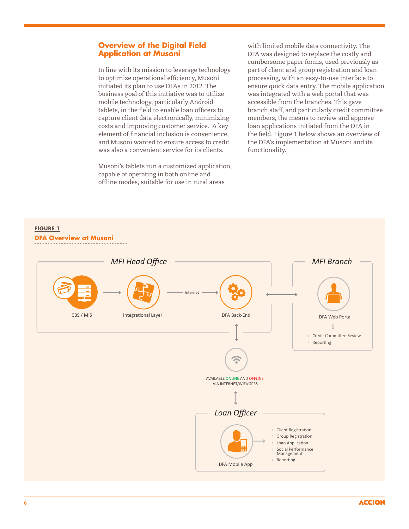### **Overview of the Digital Field Application at Musoni**

In line with its mission to leverage technology to optimize operational efficiency, Musoni initiated its plan to use DFAs in 2012. The business goal of this initiative was to utilize mobile technology, particularly Android tablets, in the field to enable loan officers to capture client data electronically, minimizing costs and improving customer service. A key element of financial inclusion is convenience, and Musoni wanted to ensure access to credit was also a convenient service for its clients.

Musoni's tablets run a customized application, capable of operating in both online and offline modes, suitable for use in rural areas

with limited mobile data connectivity. The DFA was designed to replace the costly and cumbersome paper forms, used previously as part of client and group registration and loan processing, with an easy-to-use interface to ensure quick data entry. The mobile application was integrated with a web portal that was accessible from the branches. This gave branch staff, and particularly credit committee members, the means to review and approve loan applications initiated from the DFA in the field. Figure 1 below shows an overview of the DFA's implementation at Musoni and its functionality.

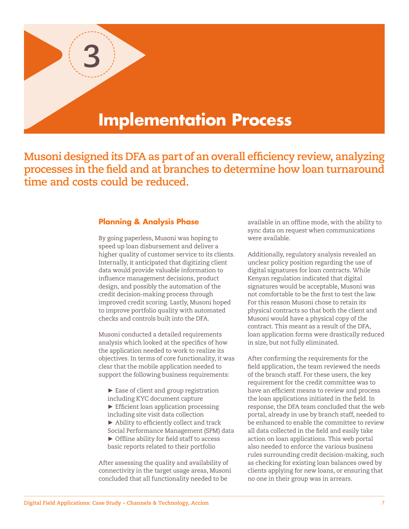# **Implementation Process**

**Musoni designed its DFA as part of an overall efficiency review, analyzing processes in the field and at branches to determine how loan turnaround time and costs could be reduced.**

#### **Planning & Analysis Phase**

**3**

By going paperless, Musoni was hoping to speed up loan disbursement and deliver a higher quality of customer service to its clients. Internally, it anticipated that digitizing client data would provide valuable information to influence management decisions, product design, and possibly the automation of the credit decision-making process through improved credit scoring. Lastly, Musoni hoped to improve portfolio quality with automated checks and controls built into the DFA.

Musoni conducted a detailed requirements analysis which looked at the specifics of how the application needed to work to realize its objectives. In terms of core functionality, it was clear that the mobile application needed to support the following business requirements:

► Ease of client and group registration including KYC document capture ► Efficient loan application processing including site visit data collection ► Ability to efficiently collect and track Social Performance Management (SPM) data ► Offline ability for field staff to access basic reports related to their portfolio

After assessing the quality and availability of connectivity in the target usage areas, Musoni concluded that all functionality needed to be

available in an offline mode, with the ability to sync data on request when communications were available.

Additionally, regulatory analysis revealed an unclear policy position regarding the use of digital signatures for loan contracts. While Kenyan regulation indicated that digital signatures would be acceptable, Musoni was not comfortable to be the first to test the law. For this reason Musoni chose to retain its physical contracts so that both the client and Musoni would have a physical copy of the contract. This meant as a result of the DFA, loan application forms were drastically reduced in size, but not fully eliminated.

After confirming the requirements for the field application, the team reviewed the needs of the branch staff. For these users, the key requirement for the credit committee was to have an efficient means to review and process the loan applications initiated in the field. In response, the DFA team concluded that the web portal, already in use by branch staff, needed to be enhanced to enable the committee to review all data collected in the field and easily take action on loan applications. This web portal also needed to enforce the various business rules surrounding credit decision-making, such as checking for existing loan balances owed by clients applying for new loans, or ensuring that no one in their group was in arrears.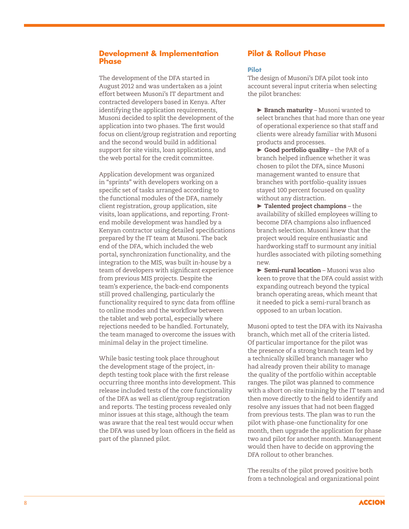#### **Development & Implementation Phase**

The development of the DFA started in August 2012 and was undertaken as a joint effort between Musoni's IT department and contracted developers based in Kenya. After identifying the application requirements, Musoni decided to split the development of the application into two phases. The first would focus on client/group registration and reporting and the second would build in additional support for site visits, loan applications, and the web portal for the credit committee.

Application development was organized in "sprints" with developers working on a specific set of tasks arranged according to the functional modules of the DFA, namely client registration, group application, site visits, loan applications, and reporting. Frontend mobile development was handled by a Kenyan contractor using detailed specifications prepared by the IT team at Musoni. The back end of the DFA, which included the web portal, synchronization functionality, and the integration to the MIS, was built in-house by a team of developers with significant experience from previous MIS projects. Despite the team's experience, the back-end components still proved challenging, particularly the functionality required to sync data from offline to online modes and the workflow between the tablet and web portal, especially where rejections needed to be handled. Fortunately, the team managed to overcome the issues with minimal delay in the project timeline.

While basic testing took place throughout the development stage of the project, indepth testing took place with the first release occurring three months into development. This release included tests of the core functionality of the DFA as well as client/group registration and reports. The testing process revealed only minor issues at this stage, although the team was aware that the real test would occur when the DFA was used by loan officers in the field as part of the planned pilot.

# **Pilot & Rollout Phase**

#### **Pilot**

The design of Musoni's DFA pilot took into account several input criteria when selecting the pilot branches:

► Branch maturity – Musoni wanted to select branches that had more than one year of operational experience so that staff and clients were already familiar with Musoni products and processes.

 $\triangleright$  Good portfolio quality – the PAR of a branch helped influence whether it was chosen to pilot the DFA, since Musoni management wanted to ensure that branches with portfolio-quality issues stayed 100 percent focused on quality without any distraction.

 $\blacktriangleright$  Talented project champions – the availability of skilled employees willing to become DFA champions also influenced branch selection. Musoni knew that the project would require enthusiastic and hardworking staff to surmount any initial hurdles associated with piloting something new.

► Semi-rural location – Musoni was also keen to prove that the DFA could assist with expanding outreach beyond the typical branch operating areas, which meant that it needed to pick a semi-rural branch as opposed to an urban location.

Musoni opted to test the DFA with its Naivasha branch, which met all of the criteria listed. Of particular importance for the pilot was the presence of a strong branch team led by a technically skilled branch manager who had already proven their ability to manage the quality of the portfolio within acceptable ranges. The pilot was planned to commence with a short on-site training by the IT team and then move directly to the field to identify and resolve any issues that had not been flagged from previous tests. The plan was to run the pilot with phase-one functionality for one month, then upgrade the application for phase two and pilot for another month. Management would then have to decide on approving the DFA rollout to other branches.

The results of the pilot proved positive both from a technological and organizational point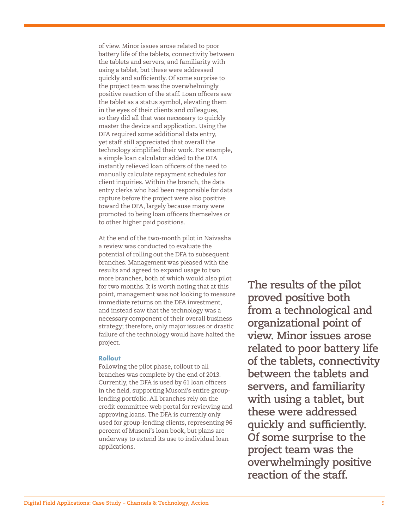of view. Minor issues arose related to poor battery life of the tablets, connectivity between the tablets and servers, and familiarity with using a tablet, but these were addressed quickly and sufficiently. Of some surprise to the project team was the overwhelmingly positive reaction of the staff. Loan officers saw the tablet as a status symbol, elevating them in the eyes of their clients and colleagues, so they did all that was necessary to quickly master the device and application. Using the DFA required some additional data entry, yet staff still appreciated that overall the technology simplified their work. For example, a simple loan calculator added to the DFA instantly relieved loan officers of the need to manually calculate repayment schedules for client inquiries. Within the branch, the data entry clerks who had been responsible for data capture before the project were also positive toward the DFA, largely because many were promoted to being loan officers themselves or to other higher paid positions.

At the end of the two-month pilot in Naivasha a review was conducted to evaluate the potential of rolling out the DFA to subsequent branches. Management was pleased with the results and agreed to expand usage to two more branches, both of which would also pilot for two months. It is worth noting that at this point, management was not looking to measure immediate returns on the DFA investment, and instead saw that the technology was a necessary component of their overall business strategy; therefore, only major issues or drastic failure of the technology would have halted the project.

#### **Rollout**

Following the pilot phase, rollout to all branches was complete by the end of 2013. Currently, the DFA is used by 61 loan officers in the field, supporting Musoni's entire grouplending portfolio. All branches rely on the credit committee web portal for reviewing and approving loans. The DFA is currently only used for group-lending clients, representing 96 percent of Musoni's loan book, but plans are underway to extend its use to individual loan applications.

**The results of the pilot proved positive both from a technological and organizational point of view. Minor issues arose related to poor battery life of the tablets, connectivity between the tablets and servers, and familiarity with using a tablet, but these were addressed quickly and sufficiently. Of some surprise to the project team was the overwhelmingly positive reaction of the staff.**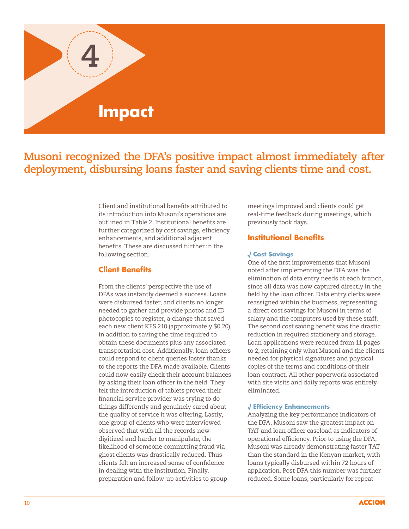# **Impact**

**4**

# **Musoni recognized the DFA's positive impact almost immediately after deployment, disbursing loans faster and saving clients time and cost.**

Client and institutional benefits attributed to its introduction into Musoni's operations are outlined in Table 2. Institutional benefits are further categorized by cost savings, efficiency enhancements, and additional adjacent benefits. These are discussed further in the following section.

## **Client Benefits**

From the clients' perspective the use of DFAs was instantly deemed a success. Loans were disbursed faster, and clients no longer needed to gather and provide photos and ID photocopies to register, a change that saved each new client KES 210 (approximately \$0.20), in addition to saving the time required to obtain these documents plus any associated transportation cost. Additionally, loan officers could respond to client queries faster thanks to the reports the DFA made available. Clients could now easily check their account balances by asking their loan officer in the field. They felt the introduction of tablets proved their financial service provider was trying to do things differently and genuinely cared about the quality of service it was offering. Lastly, one group of clients who were interviewed observed that with all the records now digitized and harder to manipulate, the likelihood of someone committing fraud via ghost clients was drastically reduced. Thus clients felt an increased sense of confidence in dealing with the institution. Finally, preparation and follow-up activities to group

meetings improved and clients could get real-time feedback during meetings, which previously took days.

#### **Institutional Benefits**

#### **√ Cost Savings**

One of the first improvements that Musoni noted after implementing the DFA was the elimination of data entry needs at each branch, since all data was now captured directly in the field by the loan officer. Data entry clerks were reassigned within the business, representing a direct cost savings for Musoni in terms of salary and the computers used by these staff. The second cost saving benefit was the drastic reduction in required stationery and storage. Loan applications were reduced from 11 pages to 2, retaining only what Musoni and the clients needed for physical signatures and physical copies of the terms and conditions of their loan contract. All other paperwork associated with site visits and daily reports was entirely eliminated.

#### **√ Efficiency Enhancements**

Analyzing the key performance indicators of the DFA, Musoni saw the greatest impact on TAT and loan officer caseload as indicators of operational efficiency. Prior to using the DFA, Musoni was already demonstrating faster TAT than the standard in the Kenyan market, with loans typically disbursed within 72 hours of application. Post-DFA this number was further reduced. Some loans, particularly for repeat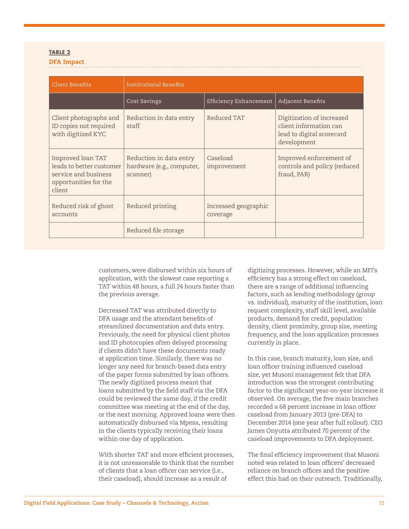## **TABLE 2**

| <b>Client Benefits</b>                                                                                   | <b>Institutional Benefits</b>                                    |                                  |                                                                                                 |
|----------------------------------------------------------------------------------------------------------|------------------------------------------------------------------|----------------------------------|-------------------------------------------------------------------------------------------------|
|                                                                                                          | Cost Savings                                                     | Efficiency Enhancement           | Adjacent Benefits                                                                               |
| Client photographs and<br>ID copies not required<br>with digitized KYC                                   | Reduction in data entry<br>staff                                 | Reduced TAT                      | Digitization of increased<br>client information can<br>lead to digital scorecard<br>development |
| Improved loan TAT<br>leads to better customer<br>service and business<br>opportunities for the<br>client | Reduction in data entry<br>hardware (e.g., computer,<br>scanner) | Caseload<br>improvement          | Improved enforcement of<br>controls and policy (reduced<br>fraud, PAR)                          |
| Reduced risk of ghost<br>accounts                                                                        | Reduced printing                                                 | Increased geographic<br>coverage |                                                                                                 |
|                                                                                                          | Reduced file storage                                             |                                  |                                                                                                 |

customers, were disbursed within six hours of application, with the slowest case reporting a TAT within 48 hours, a full 24 hours faster than the previous average.

Decreased TAT was attributed directly to DFA usage and the attendant benefits of streamlined documentation and data entry. Previously, the need for physical client photos and ID photocopies often delayed processing if clients didn't have these documents ready at application time. Similarly, there was no longer any need for branch-based data entry of the paper forms submitted by loan officers. The newly digitized process meant that loans submitted by the field staff via the DFA could be reviewed the same day, if the credit committee was meeting at the end of the day, or the next morning. Approved loans were then automatically disbursed via Mpesa, resulting in the clients typically receiving their loans within one day of application.

With shorter TAT and more efficient processes, it is not unreasonable to think that the number of clients that a loan officer can service (i.e., their caseload), should increase as a result of

digitizing processes. However, while an MFI's efficiency has a strong effect on caseload, there are a range of additional influencing factors, such as lending methodology (group vs. individual), maturity of the institution, loan request complexity, staff skill level, available products, demand for credit, population density, client proximity, group size, meeting frequency, and the loan application processes currently in place.

In this case, branch maturity, loan size, and loan officer training influenced caseload size, yet Musoni management felt that DFA introduction was the strongest contributing factor to the significant year-on-year increase it observed. On average, the five main branches recorded a 68 percent increase in loan officer caseload from January 2013 (pre-DFA) to December 2014 (one year after full rollout). CEO James Onyutta attributed 70 percent of the caseload improvements to DFA deployment.

The final efficiency improvement that Musoni noted was related to loan officers' decreased reliance on branch offices and the positive effect this had on their outreach. Traditionally,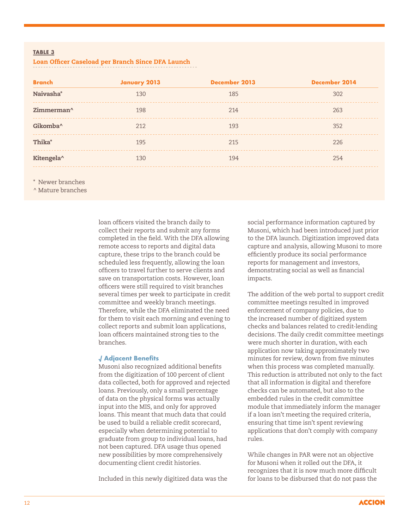#### **TABLE 3**

Loan Officer Caseload per Branch Since DFA Launch

| December 2013 | December 2014 |
|---------------|---------------|
| 185           | 302           |
| 214           | 263           |
| 193           | 352           |
| 215           | 226           |
| 194           | 254           |
|               |               |

\* Newer branches

^ Mature branches

loan officers visited the branch daily to collect their reports and submit any forms completed in the field. With the DFA allowing remote access to reports and digital data capture, these trips to the branch could be scheduled less frequently, allowing the loan officers to travel further to serve clients and save on transportation costs. However, loan officers were still required to visit branches several times per week to participate in credit committee and weekly branch meetings. Therefore, while the DFA eliminated the need for them to visit each morning and evening to collect reports and submit loan applications, loan officers maintained strong ties to the branches.

#### **√ Adjacent Benefits**

Musoni also recognized additional benefits from the digitization of 100 percent of client data collected, both for approved and rejected loans. Previously, only a small percentage of data on the physical forms was actually input into the MIS, and only for approved loans. This meant that much data that could be used to build a reliable credit scorecard, especially when determining potential to graduate from group to individual loans, had not been captured. DFA usage thus opened new possibilities by more comprehensively documenting client credit histories.

Included in this newly digitized data was the

social performance information captured by Musoni, which had been introduced just prior to the DFA launch. Digitization improved data capture and analysis, allowing Musoni to more efficiently produce its social performance reports for management and investors, demonstrating social as well as financial impacts.

The addition of the web portal to support credit committee meetings resulted in improved enforcement of company policies, due to the increased number of digitized system checks and balances related to credit-lending decisions. The daily credit committee meetings were much shorter in duration, with each application now taking approximately two minutes for review, down from five minutes when this process was completed manually. This reduction is attributed not only to the fact that all information is digital and therefore checks can be automated, but also to the embedded rules in the credit committee module that immediately inform the manager if a loan isn't meeting the required criteria, ensuring that time isn't spent reviewing applications that don't comply with company rules.

While changes in PAR were not an objective for Musoni when it rolled out the DFA, it recognizes that it is now much more difficult for loans to be disbursed that do not pass the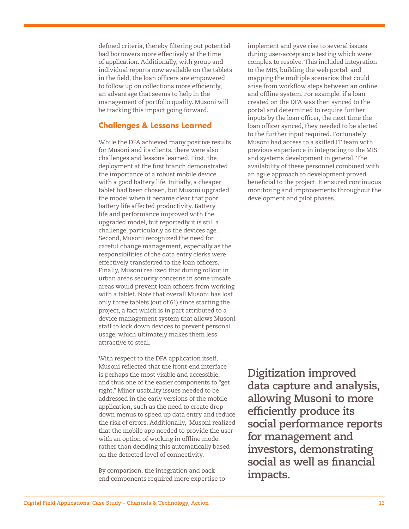defined criteria, thereby filtering out potential bad borrowers more effectively at the time of application. Additionally, with group and individual reports now available on the tablets in the field, the loan officers are empowered to follow up on collections more efficiently, an advantage that seems to help in the management of portfolio quality. Musoni will be tracking this impact going forward.

### **Challenges & Lessons Learned**

While the DFA achieved many positive results for Musoni and its clients, there were also challenges and lessons learned. First, the deployment at the first branch demonstrated the importance of a robust mobile device with a good battery life. Initially, a cheaper tablet had been chosen, but Musoni upgraded the model when it became clear that poor battery life affected productivity. Battery life and performance improved with the upgraded model, but reportedly it is still a challenge, particularly as the devices age. Second, Musoni recognized the need for careful change management, especially as the responsibilities of the data entry clerks were effectively transferred to the loan officers. Finally, Musoni realized that during rollout in urban areas security concerns in some unsafe areas would prevent loan officers from working with a tablet. Note that overall Musoni has lost only three tablets (out of 61) since starting the project, a fact which is in part attributed to a device management system that allows Musoni staff to lock down devices to prevent personal usage, which ultimately makes them less attractive to steal.

With respect to the DFA application itself, Musoni reflected that the front-end interface is perhaps the most visible and accessible, and thus one of the easier components to "get right." Minor usability issues needed to be addressed in the early versions of the mobile application, such as the need to create dropdown menus to speed up data entry and reduce the risk of errors. Additionally, Musoni realized that the mobile app needed to provide the user with an option of working in offline mode, rather than deciding this automatically based on the detected level of connectivity.

By comparison, the integration and backend components required more expertise to implement and gave rise to several issues during user-acceptance testing which were complex to resolve. This included integration to the MIS, building the web portal, and mapping the multiple scenarios that could arise from workflow steps between an online and offline system. For example, if a loan created on the DFA was then synced to the portal and determined to require further inputs by the loan officer, the next time the loan officer synced, they needed to be alerted to the further input required. Fortunately Musoni had access to a skilled IT team with previous experience in integrating to the MIS and systems development in general. The availability of these personnel combined with an agile approach to development proved beneficial to the project. It ensured continuous monitoring and improvements throughout the development and pilot phases.

**Digitization improved data capture and analysis, allowing Musoni to more efficiently produce its social performance reports for management and investors, demonstrating social as well as financial impacts.**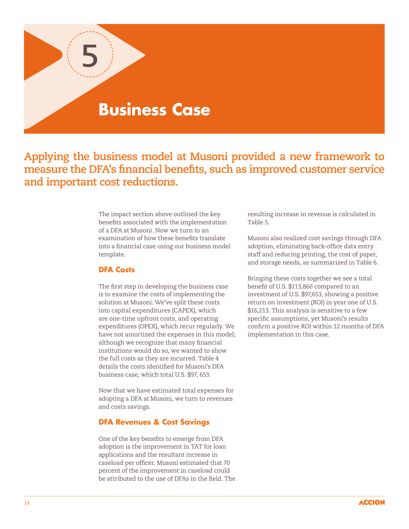# **Business Case**

**Applying the business model at Musoni provided a new framework to measure the DFA's financial benefits, such as improved customer service and important cost reductions.**

> The impact section above outlined the key benefits associated with the implementation of a DFA at Musoni. Now we turn to an examination of how these benefits translate into a financial case using our business model template.

#### **DFA Costs**

**5**

The first step in developing the business case is to examine the costs of implementing the solution at Musoni. We've split these costs into capital expenditures (CAPEX), which are one-time upfront costs, and operating expenditures (OPEX), which recur regularly. We have not amortized the expenses in this model; although we recognize that many financial institutions would do so, we wanted to show the full costs as they are incurred. Table 4 details the costs identified for Musoni's DFA business case, which total U.S. \$97, 653.

Now that we have estimated total expenses for adopting a DFA at Musoni, we turn to revenues and costs savings.

#### **DFA Revenues & Cost Savings**

One of the key benefits to emerge from DFA adoption is the improvement in TAT for loan applications and the resultant increase in caseload per officer. Musoni estimated that 70 percent of the improvement in caseload could be attributed to the use of DFAs in the field. The resulting increase in revenue is calculated in Table 5.

Musoni also realized cost savings through DFA adoption, eliminating back-office data entry staff and reducing printing, the cost of paper, and storage needs, as summarized in Table 6.

Bringing these costs together we see a total benefit of U.S. \$113,866 compared to an investment of U.S. \$97,653, showing a positive return on investment (ROI) in year one of U.S. \$16,213. This analysis is sensitive to a few specific assumptions, yet Musoni's results confirm a positive ROI within 12 months of DFA implementation in this case.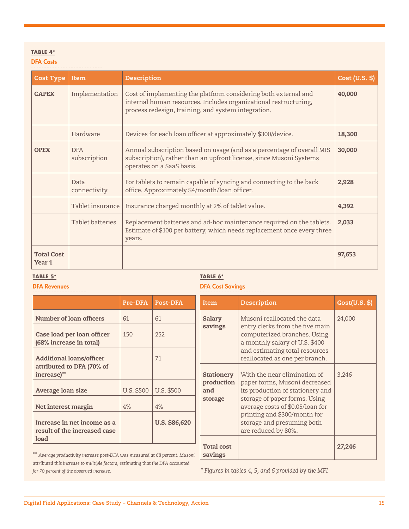### **TABLE 4\***

DFA Costs

| <b>Cost Type</b>            | Item                       | <b>Description</b>                                                                                                                                                                         | <b>Cost (U.S. \$)</b> |
|-----------------------------|----------------------------|--------------------------------------------------------------------------------------------------------------------------------------------------------------------------------------------|-----------------------|
| <b>CAPEX</b>                | Implementation             | Cost of implementing the platform considering both external and<br>internal human resources. Includes organizational restructuring,<br>process redesign, training, and system integration. | 40,000                |
|                             | Hardware                   | Devices for each loan officer at approximately \$300/device.                                                                                                                               | 18,300                |
| <b>OPEX</b>                 | <b>DFA</b><br>subscription | Annual subscription based on usage (and as a percentage of overall MIS<br>subscription), rather than an upfront license, since Musoni Systems<br>operates on a SaaS basis.                 | 30,000                |
|                             | Data<br>connectivity       | For tablets to remain capable of syncing and connecting to the back<br>office. Approximately \$4/month/loan officer.                                                                       | 2,928                 |
|                             | Tablet insurance           | Insurance charged monthly at 2% of tablet value.                                                                                                                                           | 4,392                 |
|                             | Tablet batteries           | Replacement batteries and ad-hoc maintenance required on the tablets.<br>Estimate of \$100 per battery, which needs replacement once every three<br>years.                                 | 2,033                 |
| <b>Total Cost</b><br>Year 1 |                            |                                                                                                                                                                                            | 97,653                |

#### **TABLE 5\***

# **TABLE 6\***

DFA Cost Savings

DFA Revenues

|                                                                             | <b>Pre-DFA</b>    | <b>Post-DFA</b>      |
|-----------------------------------------------------------------------------|-------------------|----------------------|
| Number of loan officers                                                     | 61                | 61                   |
| <b>Case load per loan officer</b><br>(68% increase in total)                | 150               | 252                  |
| <b>Additional loans/officer</b><br>attributed to DFA (70% of<br>increase)** |                   | 71                   |
| <b>Average loan size</b>                                                    | <b>U.S. \$500</b> | U.S. \$500           |
| Net interest margin                                                         | 4%                | 4%                   |
| Increase in net income as a<br>result of the increased case<br>load         |                   | <b>U.S. \$86,620</b> |

| Item                                              | <b>Description</b>                                                                                                                                                                                                                                          | Cost(U.S. \$) |
|---------------------------------------------------|-------------------------------------------------------------------------------------------------------------------------------------------------------------------------------------------------------------------------------------------------------------|---------------|
| Salary<br>savings                                 | Musoni reallocated the data<br>entry clerks from the five main<br>computerized branches. Using<br>a monthly salary of U.S. \$400<br>and estimating total resources<br>reallocated as one per branch.                                                        | 24,000        |
| <b>Stationery</b><br>production<br>and<br>storage | With the near elimination of<br>paper forms, Musoni decreased<br>its production of stationery and<br>storage of paper forms. Using<br>average costs of \$0.05/loan for<br>printing and \$300/month for<br>storage and presuming both<br>are reduced by 80%. | 3,246         |
| <b>Total cost</b><br>savings                      |                                                                                                                                                                                                                                                             | 27,246        |

\*\* *Average productivity increase post-DFA was measured at 68 percent. Musoni attributed this increase to multiple factors, estimating that the DFA accounted for 70 percent of the observed increase. \* Figures in tables 4, 5, and 6 provided by the MFI*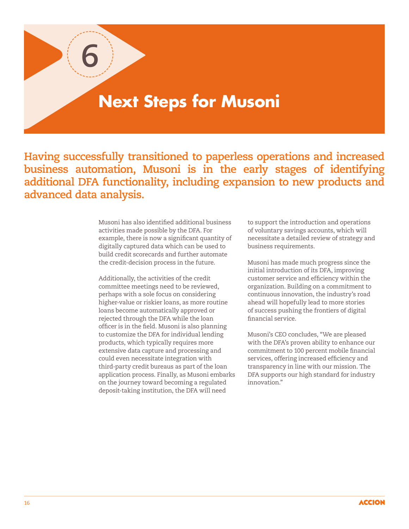# **Next Steps for Musoni**

**6**

**Having successfully transitioned to paperless operations and increased business automation, Musoni is in the early stages of identifying additional DFA functionality, including expansion to new products and advanced data analysis.**

> Musoni has also identified additional business activities made possible by the DFA. For example, there is now a significant quantity of digitally captured data which can be used to build credit scorecards and further automate the credit-decision process in the future.

Additionally, the activities of the credit committee meetings need to be reviewed, perhaps with a sole focus on considering higher-value or riskier loans, as more routine loans become automatically approved or rejected through the DFA while the loan officer is in the field. Musoni is also planning to customize the DFA for individual lending products, which typically requires more extensive data capture and processing and could even necessitate integration with third-party credit bureaus as part of the loan application process. Finally, as Musoni embarks on the journey toward becoming a regulated deposit-taking institution, the DFA will need

to support the introduction and operations of voluntary savings accounts, which will necessitate a detailed review of strategy and business requirements.

Musoni has made much progress since the initial introduction of its DFA, improving customer service and efficiency within the organization. Building on a commitment to continuous innovation, the industry's road ahead will hopefully lead to more stories of success pushing the frontiers of digital financial service.

Musoni's CEO concludes, "We are pleased with the DFA's proven ability to enhance our commitment to 100 percent mobile financial services, offering increased efficiency and transparency in line with our mission. The DFA supports our high standard for industry innovation."